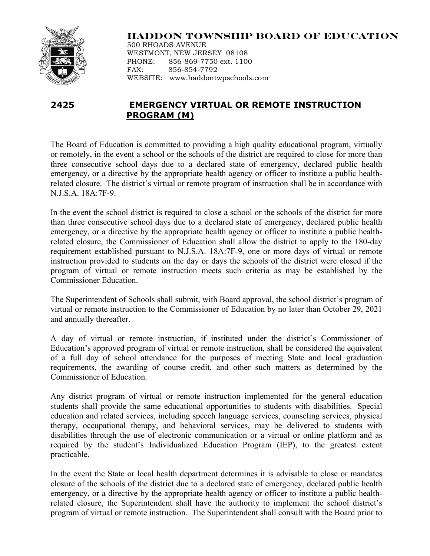

## **HADDON TOWNSHIP BOARD OF EDUCATION**

500 RHOADS AVENUE WESTMONT, NEW JERSEY 08108 PHONE: 856-869-7750 ext. 1100 FAX: 856-854-7792 WEBSITE: www.haddontwpschools.com

## **2425 EMERGENCY VIRTUAL OR REMOTE INSTRUCTION PROGRAM (M)**

The Board of Education is committed to providing a high quality educational program, virtually or remotely, in the event a school or the schools of the district are required to close for more than three consecutive school days due to a declared state of emergency, declared public health emergency, or a directive by the appropriate health agency or officer to institute a public healthrelated closure. The district's virtual or remote program of instruction shall be in accordance with N.J.S.A. 18A:7F-9.

In the event the school district is required to close a school or the schools of the district for more than three consecutive school days due to a declared state of emergency, declared public health emergency, or a directive by the appropriate health agency or officer to institute a public healthrelated closure, the Commissioner of Education shall allow the district to apply to the 180-day requirement established pursuant to N.J.S.A. 18A:7F-9, one or more days of virtual or remote instruction provided to students on the day or days the schools of the district were closed if the program of virtual or remote instruction meets such criteria as may be established by the Commissioner Education.

The Superintendent of Schools shall submit, with Board approval, the school district's program of virtual or remote instruction to the Commissioner of Education by no later than October 29, 2021 and annually thereafter.

A day of virtual or remote instruction, if instituted under the district's Commissioner of Education's approved program of virtual or remote instruction, shall be considered the equivalent of a full day of school attendance for the purposes of meeting State and local graduation requirements, the awarding of course credit, and other such matters as determined by the Commissioner of Education.

Any district program of virtual or remote instruction implemented for the general education students shall provide the same educational opportunities to students with disabilities. Special education and related services, including speech language services, counseling services, physical therapy, occupational therapy, and behavioral services, may be delivered to students with disabilities through the use of electronic communication or a virtual or online platform and as required by the student's Individualized Education Program (IEP), to the greatest extent practicable.

In the event the State or local health department determines it is advisable to close or mandates closure of the schools of the district due to a declared state of emergency, declared public health emergency, or a directive by the appropriate health agency or officer to institute a public healthrelated closure, the Superintendent shall have the authority to implement the school district's program of virtual or remote instruction. The Superintendent shall consult with the Board prior to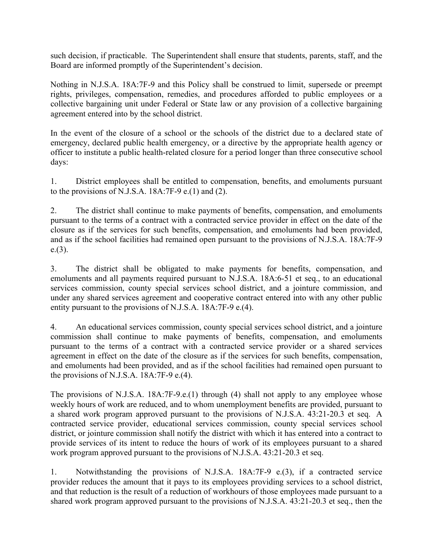such decision, if practicable. The Superintendent shall ensure that students, parents, staff, and the Board are informed promptly of the Superintendent's decision.

Nothing in N.J.S.A. 18A:7F-9 and this Policy shall be construed to limit, supersede or preempt rights, privileges, compensation, remedies, and procedures afforded to public employees or a collective bargaining unit under Federal or State law or any provision of a collective bargaining agreement entered into by the school district.

In the event of the closure of a school or the schools of the district due to a declared state of emergency, declared public health emergency, or a directive by the appropriate health agency or officer to institute a public health-related closure for a period longer than three consecutive school days:

1. District employees shall be entitled to compensation, benefits, and emoluments pursuant to the provisions of N.J.S.A.  $18A:7F-9$  e.(1) and (2).

2. The district shall continue to make payments of benefits, compensation, and emoluments pursuant to the terms of a contract with a contracted service provider in effect on the date of the closure as if the services for such benefits, compensation, and emoluments had been provided, and as if the school facilities had remained open pursuant to the provisions of N.J.S.A. 18A:7F-9 e.(3).

3. The district shall be obligated to make payments for benefits, compensation, and emoluments and all payments required pursuant to N.J.S.A. 18A:6-51 et seq., to an educational services commission, county special services school district, and a jointure commission, and under any shared services agreement and cooperative contract entered into with any other public entity pursuant to the provisions of N.J.S.A. 18A:7F-9 e.(4).

4. An educational services commission, county special services school district, and a jointure commission shall continue to make payments of benefits, compensation, and emoluments pursuant to the terms of a contract with a contracted service provider or a shared services agreement in effect on the date of the closure as if the services for such benefits, compensation, and emoluments had been provided, and as if the school facilities had remained open pursuant to the provisions of N.J.S.A. 18A:7F-9 e.(4).

The provisions of N.J.S.A. 18A:7F-9.e.(1) through (4) shall not apply to any employee whose weekly hours of work are reduced, and to whom unemployment benefits are provided, pursuant to a shared work program approved pursuant to the provisions of N.J.S.A. 43:21-20.3 et seq. A contracted service provider, educational services commission, county special services school district, or jointure commission shall notify the district with which it has entered into a contract to provide services of its intent to reduce the hours of work of its employees pursuant to a shared work program approved pursuant to the provisions of N.J.S.A. 43:21-20.3 et seq.

1. Notwithstanding the provisions of N.J.S.A. 18A:7F-9 e.(3), if a contracted service provider reduces the amount that it pays to its employees providing services to a school district, and that reduction is the result of a reduction of workhours of those employees made pursuant to a shared work program approved pursuant to the provisions of N.J.S.A. 43:21-20.3 et seq., then the